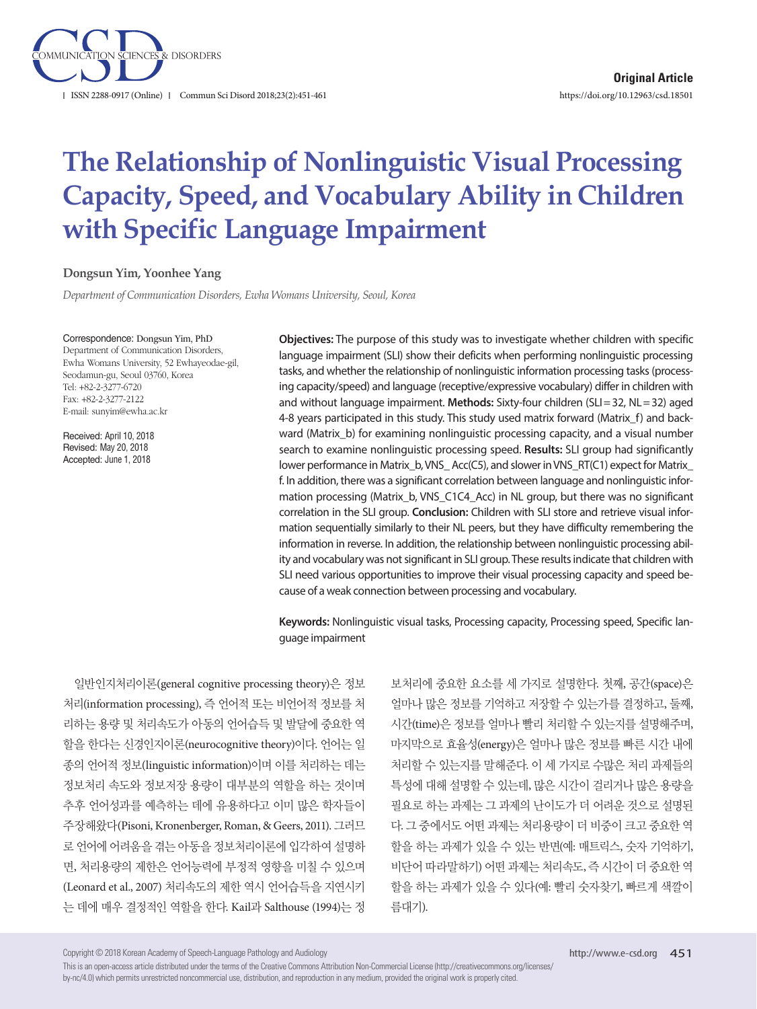

# **The Relationship of Nonlinguistic Visual Processing Capacity, Speed, and Vocabulary Ability in Children with Specific Language Impairment**

#### **Dongsun Yim, Yoonhee Yang**

*Department of Communication Disorders, Ewha Womans University, Seoul, Korea*

#### Correspondence: Dongsun Yim, PhD

Department of Communication Disorders, Ewha Womans University, 52 Ewhayeodae-gil, Seodamun-gu, Seoul 03760, Korea Tel: +82-2-3277-6720 Fax: +82-2-3277-2122 E-mail: sunyim@ewha.ac.kr

Received: April 10, 2018 Revised: May 20, 2018 Accepted: June 1, 2018

**Objectives:** The purpose of this study was to investigate whether children with specific language impairment (SLI) show their deficits when performing nonlinguistic processing tasks, and whether the relationship of nonlinguistic information processing tasks (processing capacity/speed) and language (receptive/expressive vocabulary) differ in children with and without language impairment. **Methods:** Sixty-four children (SLI= 32, NL= 32) aged 4-8 years participated in this study. This study used matrix forward (Matrix\_f) and backward (Matrix\_b) for examining nonlinguistic processing capacity, and a visual number search to examine nonlinguistic processing speed. **Results:** SLI group had significantly lower performance in Matrix\_b, VNS\_Acc(C5), and slower in VNS\_RT(C1) expect for Matrix\_ f. In addition, there was a significant correlation between language and nonlinguistic information processing (Matrix b, VNS C1C4 Acc) in NL group, but there was no significant correlation in the SLI group. **Conclusion:** Children with SLI store and retrieve visual information sequentially similarly to their NL peers, but they have difficulty remembering the information in reverse. In addition, the relationship between nonlinguistic processing ability and vocabulary was not significant in SLI group. These results indicate that children with SLI need various opportunities to improve their visual processing capacity and speed because of a weak connection between processing and vocabulary.

**Keywords:** Nonlinguistic visual tasks, Processing capacity, Processing speed, Specific language impairment

일반인지처리이론(general cognitive processing theory)은 정보 처리(information processing), 즉 언어적 또는 비언어적 정보를 처 리하는 용량 및 처리속도가 아동의 언어습득 및 발달에 중요한 역 할을 한다는 신경인지이론(neurocognitive theory)이다. 언어는 일 종의 언어적 정보(linguistic information)이며 이를 처리하는 데는 정보처리 속도와 정보저장 용량이 대부분의 역할을 하는 것이며 추후 언어성과를 예측하는 데에 유용하다고 이미 많은 학자들이 주장해왔다(Pisoni, Kronenberger, Roman, & Geers, 2011). 그러므 로 언어에 어려움을 겪는 아동을 정보처리이론에 입각하여 설명하 면, 처리용량의 제한은 언어능력에 부정적 영향을 미칠 수 있으며 (Leonard et al., 2007) 처리속도의 제한 역시 언어습득을 지연시키 는 데에 매우 결정적인 역할을 한다. Kail과 Salthouse (1994)는 정 보처리에 중요한 요소를 세 가지로 설명한다. 첫째, 공간(space)은 얼마나 많은 정보를 기억하고 저장할 수 있는가를 결정하고, 둘째, 시간(time)은 정보를 얼마나 빨리 처리할 수 있는지를 설명해주며, 마지막으로 효율성(energy)은 얼마나 많은 정보를 빠른 시간 내에 처리할 수 있는지를 말해준다. 이 세 가지로 수많은 처리 과제들의 특성에 대해 설명할 수 있는데, 많은 시간이 걸리거나 많은 용량을 필요로 하는 과제는 그 과제의 난이도가 더 어려운 것으로 설명된 다. 그 중에서도 어떤 과제는 처리용량이 더 비중이 크고 중요한 역 할을 하는 과제가 있을 수 있는 반면(예: 매트릭스, 숫자 기억하기, 비단어 따라말하기) 어떤 과제는 처리속도, 즉 시간이 더 중요한 역 할을 하는 과제가 있을 수 있다(예: 빨리 숫자찾기, 빠르게 색깔이 름대기).

Copyright © 2018 Korean Academy of Speech-Language Pathology and Audiology

This is an open-access article distributed under the terms of the Creative Commons Attribution Non-Commercial License (http://creativecommons.org/licenses/ by-nc/4.0) which permits unrestricted noncommercial use, distribution, and reproduction in any medium, provided the original work is properly cited.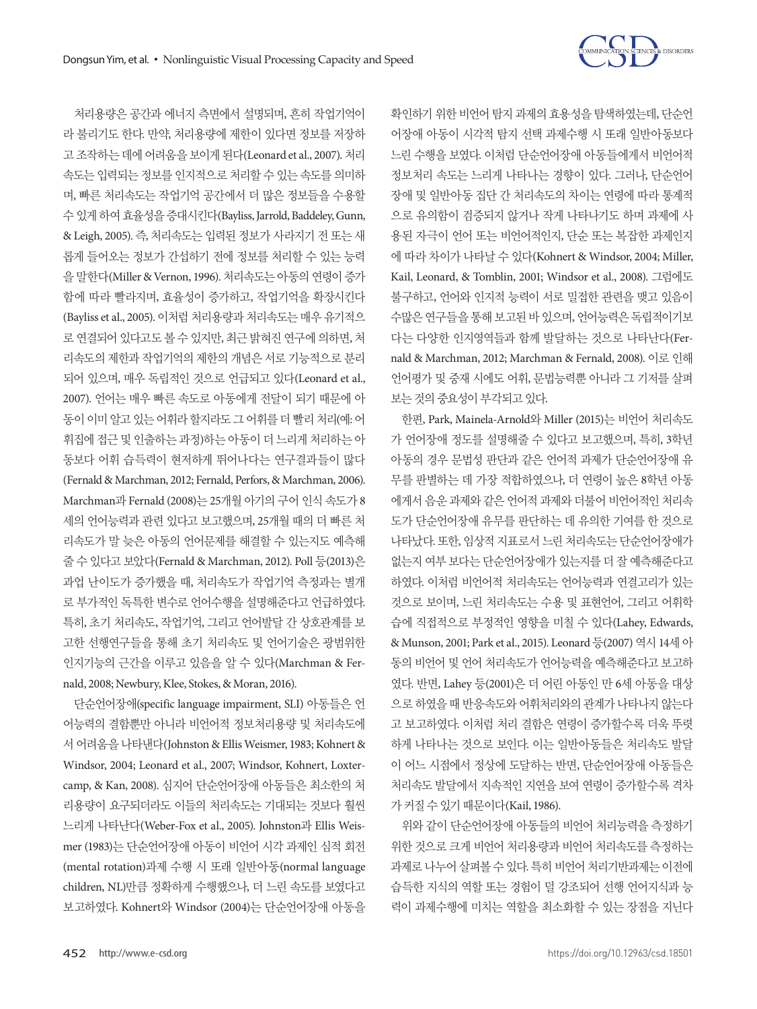처리용량은 공간과 에너지 측면에서 설명되며, 흔히 작업기억이



확인하기 위한 비언어 탐지 과제의 효용성을 탐색하였는데, 단순언 어장애 아동이 시각적 탐지 선택 과제수행 시 또래 일반아동보다 느린 수행을 보였다. 이처럼 단순언어장애 아동들에게서 비언어적 정보처리 속도는 느리게 나타나는 경향이 있다. 그러나, 단순언어 장애 및 일반아동 집단 간 처리속도의 차이는 연령에 따라 통계적 으로 유의함이 검증되지 않거나 작게 나타나기도 하며 과제에 사 용된 자극이 언어 또는 비언어적인지, 단순 또는 복잡한 과제인지 에 따라 차이가 나타날 수 있다(Kohnert & Windsor, 2004; Miller, Kail, Leonard, & Tomblin, 2001; Windsor et al., 2008). 그럼에도 불구하고, 언어와 인지적 능력이 서로 밀접한 관련을 맺고 있음이 수많은 연구들을 통해 보고된 바 있으며, 언어능력은 독립적이기보 다는 다양한 인지영역들과 함께 발달하는 것으로 나타난다(Fernald & Marchman, 2012; Marchman & Fernald, 2008). 이로 인해 언어평가 및 중재 시에도 어휘, 문법능력뿐 아니라 그 기저를 살펴 보는것의중요성이부각되고있다.

한편, Park, Mainela-Arnold와 Miller (2015)는 비언어 처리속도 가 언어장애 정도를 설명해줄 수 있다고 보고했으며, 특히, 3학년 아동의 경우 문법성 판단과 같은 언어적 과제가 단순언어장애 유 무를 판별하는 데 가장 적합하였으나, 더 연령이 높은 8학년 아동 에게서 음운 과제와 같은 언어적 과제와 더불어 비언어적인 처리속 도가 단순언어장애 유무를 판단하는 데 유의한 기여를 한 것으로 나타났다. 또한, 임상적 지표로서 느린 처리속도는 단순언어장애가 없는지 여부 보다는 단순언어장애가 있는지를 더 잘 예측해준다고 하였다. 이처럼 비언어적 처리속도는 언어능력과 연결고리가 있는 것으로 보이며, 느린 처리속도는 수용 및 표현언어, 그리고 어휘학 습에 직접적으로 부정적인 영향을 미칠 수 있다(Lahey, Edwards, & Munson, 2001; Park et al., 2015). Leonard 등(2007) 역시 14세 아 동의 비언어 및 언어 처리속도가 언어능력을 예측해준다고 보고하 였다. 반면, Lahey 등(2001)은 더 어린 아동인 만 6세 아동을 대상 으로 하였을 때 반응속도와 어휘처리와의 관계가 나타나지 않는다 고 보고하였다. 이처럼 처리 결함은 연령이 증가할수록 더욱 뚜렷 하게 나타나는 것으로 보인다. 이는 일반아동들은 처리속도 발달 이 어느 시점에서 정상에 도달하는 반면, 단순언어장애 아동들은 처리속도 발달에서 지속적인 지연을 보여 연령이 증가할수록 격차 가 커질 수 있기 때문이다(Kail, 1986).

위와 같이 단순언어장애 아동들의 비언어 처리능력을 측정하기 위한 것으로 크게 비언어 처리용량과 비언어 처리속도를 측정하는 과제로 나누어 살펴볼 수 있다. 특히 비언어 처리기반과제는 이전에 습득한 지식의 역할 또는 경험이 덜 강조되어 선행 언어지식과 능 력이 과제수행에 미치는 역할을 최소화할 수 있는 장점을 지닌다

라 불리기도 한다. 만약, 처리용량에 제한이 있다면 정보를 저장하 고 조작하는 데에 어려움을 보이게 된다(Leonard et al., 2007). 처리 속도는 입력되는 정보를 인지적으로 처리할 수 있는 속도를 의미하 며, 빠른 처리속도는 작업기억 공간에서 더 많은 정보들을 수용할 수 있게하여효율성을증대시킨다(Bayliss, Jarrold, Baddeley, Gunn, & Leigh, 2005). 즉, 처리속도는 입력된 정보가 사라지기 전 또는 새 롭게 들어오는 정보가 간섭하기 전에 정보를 처리할 수 있는 능력 을 말한다(Miller & Vernon, 1996). 처리속도는 아동의 연령이 증가 함에 따라 빨라지며, 효율성이 증가하고, 작업기억을 확장시킨다 (Bayliss et al., 2005). 이처럼 처리용량과 처리속도는 매우 유기적으 로 연결되어 있다고도 볼 수 있지만, 최근 밝혀진 연구에 의하면, 처 리속도의 제한과 작업기억의 제한의 개념은 서로 기능적으로 분리 되어 있으며, 매우 독립적인 것으로 언급되고 있다(Leonard et al., 2007). 언어는 매우 빠른 속도로 아동에게 전달이 되기 때문에 아 동이이미알고있는어휘라할지라도그어휘를더빨리처리(예: 어 휘집에 접근 및 인출하는 과정)하는 아동이 더 느리게 처리하는 아 동보다 어휘 습득력이 현저하게 뛰어나다는 연구결과들이 많다 (Fernald & Marchman, 2012; Fernald, Perfors, & Marchman, 2006). Marchman과 Fernald (2008)는 25개월 아기의 구어 인식 속도가 8 세의 언어능력과 관련 있다고 보고했으며, 25개월 때의 더 빠른 처 리속도가 말 늦은 아동의 언어문제를 해결할 수 있는지도 예측해 줄 수 있다고 보았다(Fernald & Marchman, 2012). Poll 등(2013)은 과업 난이도가 증가했을 때, 처리속도가 작업기억 측정과는 별개 로 부가적인 독특한 변수로 언어수행을 설명해준다고 언급하였다. 특히, 초기 처리속도, 작업기억, 그리고 언어발달 간 상호관계를 보 고한 선행연구들을 통해 초기 처리속도 및 언어기술은 광범위한 인지기능의 근간을 이루고 있음을 알 수 있다(Marchman & Fernald, 2008; Newbury, Klee, Stokes, & Moran, 2016).

단순언어장애(specific language impairment, SLI) 아동들은 언 어능력의 결함뿐만 아니라 비언어적 정보처리용량 및 처리속도에 서 어려움을 나타낸다(Johnston & Ellis Weismer, 1983; Kohnert & Windsor, 2004; Leonard et al., 2007; Windsor, Kohnert, Loxtercamp, & Kan, 2008). 심지어 단순언어장애 아동들은 최소한의 처 리용량이 요구되더라도 이들의 처리속도는 기대되는 것보다 훨씬 느리게 나타난다(Weber-Fox et al., 2005). Johnston과 Ellis Weismer (1983)는 단순언어장애 아동이 비언어 시각 과제인 심적 회전 (mental rotation)과제 수행 시 또래 일반아동(normal language children, NL)만큼 정확하게 수행했으나, 더 느린 속도를 보였다고 보고하였다. Kohnert와 Windsor (2004)는 단순언어장애 아동을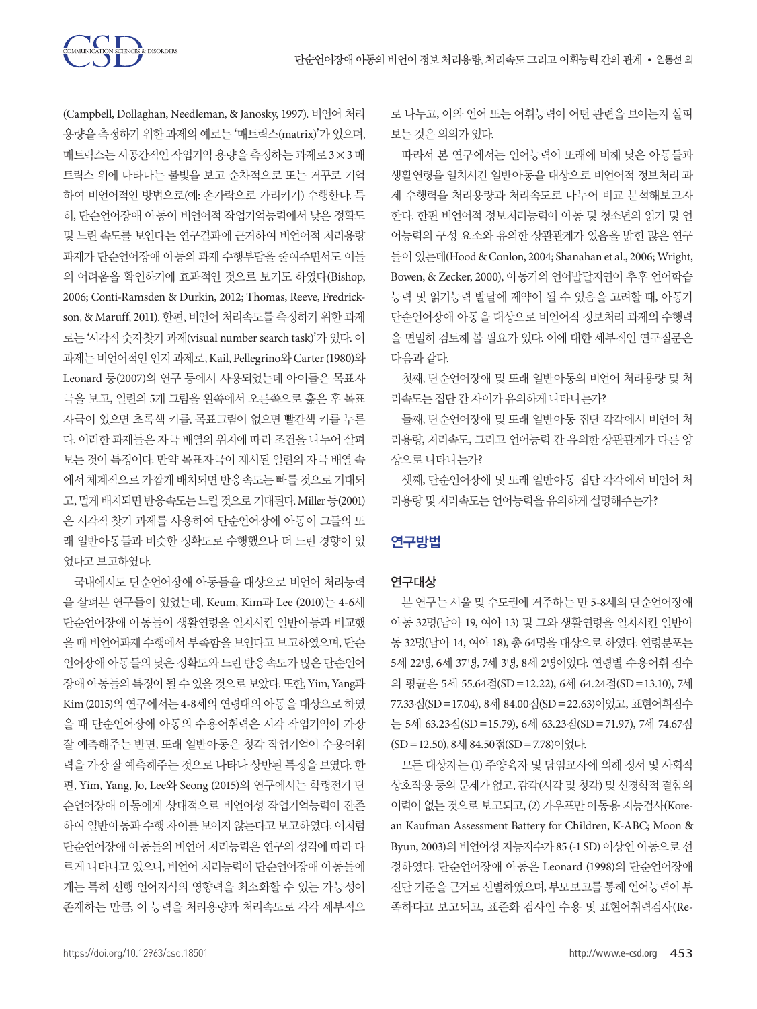

(Campbell, Dollaghan, Needleman, & Janosky, 1997). 비언어 처리 용량을 측정하기 위한 과제의 예로는 '매트릭스(matrix)'가 있으며, 매트릭스는 시공간적인 작업기억 용량을 측정하는 과제로 3×3 매 트릭스 위에 나타나는 불빛을 보고 순차적으로 또는 거꾸로 기억 하여 비언어적인 방법으로(예: 손가락으로 가리키기) 수행한다. 특 히, 단순언어장애 아동이 비언어적 작업기억능력에서 낮은 정확도 및 느린 속도를 보인다는 연구결과에 근거하여 비언어적 처리용량 과제가 단순언어장애 아동의 과제 수행부담을 줄여주면서도 이들 의 어려움을 확인하기에 효과적인 것으로 보기도 하였다(Bishop, 2006; Conti-Ramsden & Durkin, 2012; Thomas, Reeve, Fredrickson, & Maruff, 2011). 한편, 비언어 처리속도를 측정하기 위한 과제 로는 '시각적 숫자찾기 과제(visual number search task)'가 있다. 이 과제는 비언어적인 인지 과제로, Kail, Pellegrino와 Carter (1980)와 Leonard 등(2007)의 연구 등에서 사용되었는데 아이들은 목표자 극을 보고, 일련의 5개 그림을 왼쪽에서 오른쪽으로 훑은 후 목표 자극이 있으면 초록색 키를, 목표그림이 없으면 빨간색 키를 누른 다. 이러한 과제들은 자극 배열의 위치에 따라 조건을 나누어 살펴 보는 것이 특징이다. 만약 목표자극이 제시된 일련의 자극 배열 속 에서 체계적으로 가깝게 배치되면 반응속도는 빠를 것으로 기대되 고, 멀게배치되면반응속도는느릴것으로기대된다. Miller 등(2001) 은 시각적 찾기 과제를 사용하여 단순언어장애 아동이 그들의 또 래 일반아동들과 비슷한 정확도로 수행했으나 더 느린 경향이 있 었다고보고하였다.

국내에서도 단순언어장애 아동들을 대상으로 비언어 처리능력 을 살펴본 연구들이 있었는데, Keum, Kim과 Lee (2010)는 4-6세 단순언어장애 아동들이 생활연령을 일치시킨 일반아동과 비교했 을 때 비언어과제 수행에서 부족함을 보인다고 보고하였으며, 단순 언어장애 아동들의 낮은 정확도와 느린 반응속도가 많은 단순언어 장애아동들의특징이될수있을것으로보았다. 또한, Yim, Yang과 Kim (2015)의 연구에서는 4-8세의 연령대의 아동을 대상으로 하였 을 때 단순언어장애 아동의 수용어휘력은 시각 작업기억이 가장 잘 예측해주는 반면, 또래 일반아동은 청각 작업기억이 수용어휘 력을 가장 잘 예측해주는 것으로 나타나 상반된 특징을 보였다. 한 편, Yim, Yang, Jo, Lee와 Seong (2015)의 연구에서는 학령전기 단 순언어장애 아동에게 상대적으로 비언어성 작업기억능력이 잔존 하여 일반아동과 수행 차이를 보이지 않는다고 보고하였다. 이처럼 단순언어장애 아동들의 비언어 처리능력은 연구의 성격에 따라 다 르게 나타나고 있으나, 비언어 처리능력이 단순언어장애 아동들에 게는 특히 선행 언어지식의 영향력을 최소화할 수 있는 가능성이 존재하는 만큼, 이 능력을 처리용량과 처리속도로 각각 세부적으

로 나누고, 이와 언어 또는 어휘능력이 어떤 관련을 보이는지 살펴 보는것은의의가있다.

따라서 본 연구에서는 언어능력이 또래에 비해 낮은 아동들과 생활연령을 일치시킨 일반아동을 대상으로 비언어적 정보처리 과 제 수행력을 처리용량과 처리속도로 나누어 비교 분석해보고자 한다. 한편 비언어적 정보처리능력이 아동 및 청소년의 읽기 및 언 어능력의 구성 요소와 유의한 상관관계가 있음을 밝힌 많은 연구 들이있는데(Hood & Conlon, 2004; Shanahan et al., 2006; Wright, Bowen, & Zecker, 2000), 아동기의 언어발달지연이 추후 언어학습 능력 및 읽기능력 발달에 제약이 될 수 있음을 고려할 때, 아동기 단순언어장애 아동을 대상으로 비언어적 정보처리 과제의 수행력 을 면밀히 검토해 볼 필요가 있다. 이에 대한 세부적인 연구질문은 다음과같다.

첫째, 단순언어장애 및 또래 일반아동의 비언어 처리용량 및 처 리속도는집단간차이가유의하게나타나는가?

둘째, 단순언어장애 및 또래 일반아동 집단 각각에서 비언어 처 리용량, 처리속도, 그리고 언어능력 간 유의한 상관관계가 다른 양 상으로나타나는가?

셋째, 단순언어장애 및 또래 일반아동 집단 각각에서 비언어 처 리용량 및 처리속도는 언어능력을 유의하게 설명해주는가?

## 연구방법

## 연구대상

본 연구는 서울 및 수도권에 거주하는 만 5-8세의 단순언어장애 아동 32명(남아 19, 여아 13) 및 그와 생활연령을 일치시킨 일반아 동 32명(남아 14, 여아 18), 총 64명을 대상으로 하였다. 연령분포는 5세 22명, 6세 37명, 7세 3명, 8세 2명이었다. 연령별 수용어휘 점수 의 평균은 5세 55.64점(SD=12.22), 6세 64.24점(SD=13.10), 7세 77.33점(SD=17.04), 8세 84.00점(SD=22.63)이었고, 표현어휘점수 는 5세 63.23점(SD=15.79), 6세 63.23점(SD=71.97), 7세 74.67점 (SD=12.50), 8세 84.50점(SD=7.78)이었다.

모든 대상자는 (1) 주양육자 및 담임교사에 의해 정서 및 사회적 상호작용 등의 문제가 없고, 감각(시각 및 청각) 및 신경학적 결함의 이력이 없는 것으로 보고되고, (2) 카우프만 아동용 지능검사(Korean Kaufman Assessment Battery for Children, K-ABC; Moon & Byun, 2003)의 비언어성 지능지수가 85 (-1 SD) 이상인 아동으로 선 정하였다. 단순언어장애 아동은 Leonard (1998)의 단순언어장애 진단 기준을 근거로 선별하였으며, 부모보고를 통해 언어능력이 부 족하다고 보고되고, 표준화 검사인 수용 및 표현어휘력검사(Re-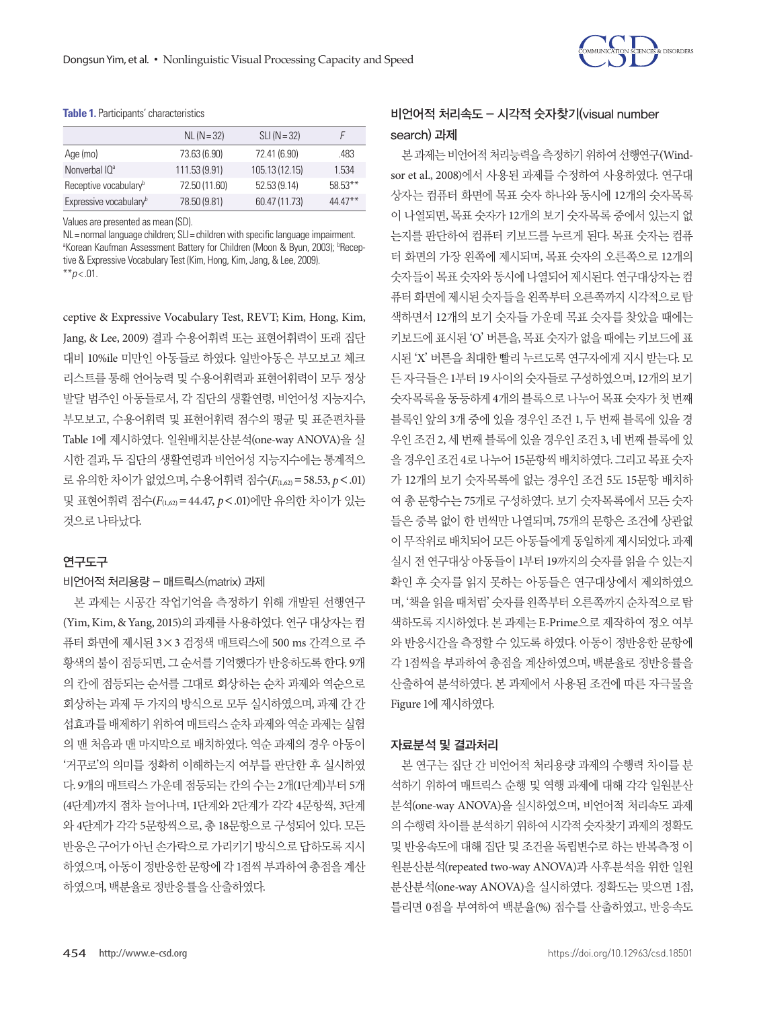

#### **Table 1.** Participants' characteristics

|                                    | $NL (N = 32)$ | $SLI(N=32)$    |           |
|------------------------------------|---------------|----------------|-----------|
| Age (mo)                           | 73.63 (6.90)  | 72.41 (6.90)   | .483      |
| Nonverbal IQ <sup>a</sup>          | 111.53 (9.91) | 105.13 (12.15) | 1.534     |
| Receptive vocabulary <sup>b</sup>  | 72.50 (11.60) | 52.53 (9.14)   | $58.53**$ |
| Expressive vocabulary <sup>b</sup> | 78.50 (9.81)  | 60.47 (11.73)  | 44 47**   |

Values are presented as mean (SD).

NL= normal language children; SLI= children with specific language impairment. <sup>a</sup>Korean Kaufman Assessment Battery for Children (Moon & Byun, 2003); <sup>b</sup>Receptive & Expressive Vocabulary Test (Kim, Hong, Kim, Jang, & Lee, 2009).  $*$ *\*p* < .01.

ceptive & Expressive Vocabulary Test, REVT; Kim, Hong, Kim, Jang, & Lee, 2009) 결과 수용어휘력 또는 표현어휘력이 또래 집단 대비 10%ile 미만인 아동들로 하였다. 일반아동은 부모보고 체크 리스트를 통해 언어능력 및 수용어휘력과 표현어휘력이 모두 정상 발달 범주인 아동들로서, 각 집단의 생활연령, 비언어성 지능지수, 부모보고, 수용어휘력 및 표현어휘력 점수의 평균 및 표준편차를 Table 1에 제시하였다. 일원배치분산분석(one-way ANOVA)을 실 시한 결과, 두 집단의 생활연령과 비언어성 지능지수에는 통계적으 로 유의한 차이가 없었으며, 수용어휘력 점수(*F*(1,62)=58.53, *p*<.01) 및 표현어휘력 점수(*F*(1,62)=44.47, *p*<.01)에만 유의한 차이가 있는 것으로나타났다.

#### 연구도구

## 비언어적 처리용량 - 매트릭스(matrix) 과제

본 과제는 시공간 작업기억을 측정하기 위해 개발된 선행연구 (Yim, Kim, & Yang, 2015)의 과제를 사용하였다. 연구 대상자는 컴 퓨터 화면에 제시된 3×3 검정색 매트릭스에 500 ms 간격으로 주 황색의 불이 점등되면, 그 순서를 기억했다가 반응하도록 한다. 9개 의 칸에 점등되는 순서를 그대로 회상하는 순차 과제와 역순으로 회상하는 과제 두 가지의 방식으로 모두 실시하였으며, 과제 간 간 섭효과를배제하기위하여매트릭스순차과제와역순과제는실험 의 맨 처음과 맨 마지막으로 배치하였다. 역순 과제의 경우 아동이 '거꾸로'의 의미를 정확히 이해하는지 여부를 판단한 후 실시하였 다. 9개의 매트릭스 가운데 점등되는 칸의 수는 2개(1단계)부터 5개 (4단계)까지 점차 늘어나며, 1단계와 2단계가 각각 4문항씩, 3단계 와 4단계가 각각 5문항씩으로, 총 18문항으로 구성되어 있다. 모든 반응은 구어가 아닌 손가락으로 가리키기 방식으로 답하도록 지시 하였으며, 아동이 정반응한 문항에 각 1점씩 부과하여 총점을 계산 하였으며, 백분율로정반응률을산출하였다.

# 비언어적 처리속도 - 시각적 숫자찾기(visual number search) 과제

본 과제는 비언어적 처리능력을 측정하기 위하여 선행연구(Windsor et al., 2008)에서 사용된 과제를 수정하여 사용하였다. 연구대 상자는 컴퓨터 화면에 목표 숫자 하나와 동시에 12개의 숫자목록 이 나열되면, 목표 숫자가 12개의 보기 숫자목록 중에서 있는지 없 는지를 판단하여 컴퓨터 키보드를 누르게 된다. 목표 숫자는 컴퓨 터 화면의 가장 왼쪽에 제시되며, 목표 숫자의 오른쪽으로 12개의 숫자들이 목표 숫자와 동시에 나열되어 제시된다. 연구대상자는 컴 퓨터 화면에 제시된 숫자들을 왼쪽부터 오른쪽까지 시각적으로 탐 색하면서 12개의 보기 숫자들 가운데 목표 숫자를 찾았을 때에는 키보드에 표시된 'O' 버튼을, 목표 숫자가 없을 때에는 키보드에 표 시된 'X' 버튼을 최대한 빨리 누르도록 연구자에게 지시 받는다. 모 든 자극들은 1부터 19 사이의 숫자들로 구성하였으며, 12개의 보기 숫자목록을 동등하게 4개의 블록으로 나누어 목표 숫자가 첫 번째 블록인 앞의 3개 중에 있을 경우인 조건 1, 두 번째 블록에 있을 경 우인 조건 2, 세 번째 블록에 있을 경우인 조건 3, 네 번째 블록에 있 을 경우인 조건 4로 나누어 15문항씩 배치하였다. 그리고 목표숫자 가 12개의 보기 숫자목록에 없는 경우인 조건 5도 15문항 배치하 여 총 문항수는 75개로 구성하였다. 보기 숫자목록에서 모든 숫자 들은 중복 없이 한 번씩만 나열되며, 75개의 문항은 조건에 상관없 이 무작위로 배치되어 모든 아동들에게 동일하게 제시되었다. 과제 실시 전 연구대상 아동들이 1부터 19까지의 숫자를 읽을 수 있는지 확인 후 숫자를 읽지 못하는 아동들은 연구대상에서 제외하였으 며, '책을 읽을 때처럼' 숫자를 왼쪽부터 오른쪽까지 순차적으로 탐 색하도록 지시하였다. 본 과제는 E-Prime으로 제작하여 정오 여부 와 반응시간을 측정할 수 있도록 하였다. 아동이 정반응한 문항에 각 1점씩을 부과하여 총점을 계산하였으며, 백분율로 정반응률을 산출하여 분석하였다. 본 과제에서 사용된 조건에 따른 자극물을 Figure 1에제시하였다.

## 자료분석 및 결과처리

본 연구는 집단 간 비언어적 처리용량 과제의 수행력 차이를 분 석하기 위하여 매트릭스 순행 및 역행 과제에 대해 각각 일원분산 분석(one-way ANOVA)을 실시하였으며, 비언어적 처리속도 과제 의 수행력 차이를 분석하기 위하여 시각적 숫자찾기 과제의 정확도 및 반응속도에 대해 집단 및 조건을 독립변수로 하는 반복측정 이 원분산분석(repeated two-way ANOVA)과 사후분석을 위한 일원 분산분석(one-way ANOVA)을 실시하였다. 정확도는 맞으면 1점, 틀리면 0점을 부여하여 백분율(%) 점수를 산출하였고, 반응속도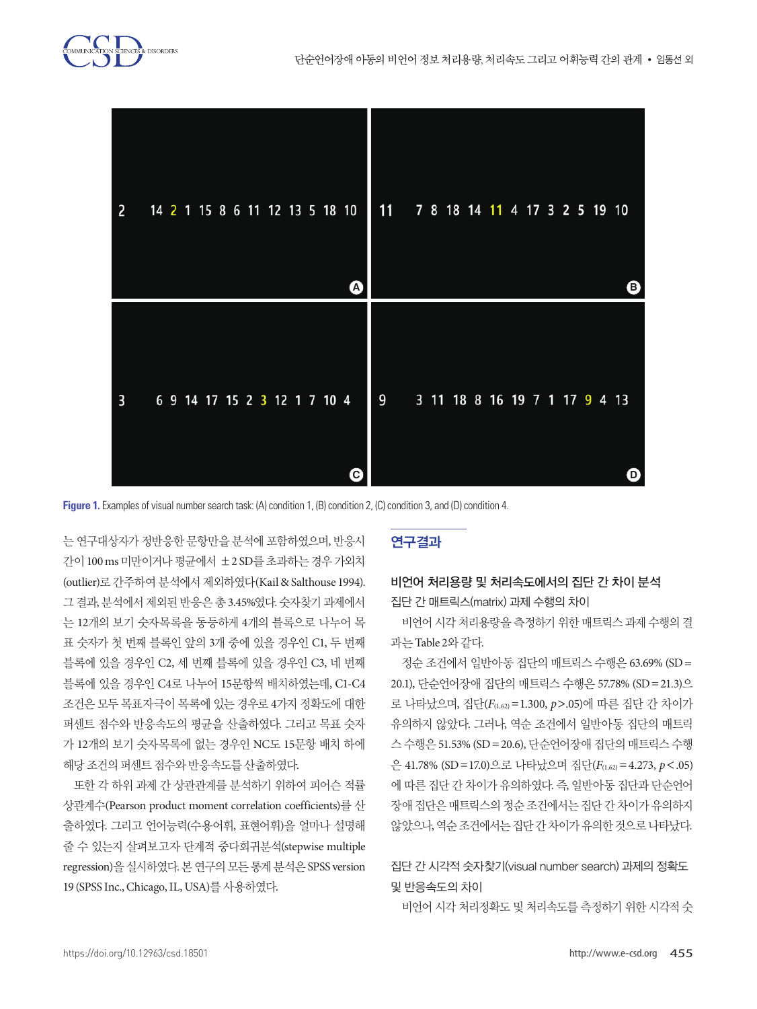



Figure 1. Examples of visual number search task: (A) condition 1, (B) condition 2, (C) condition 3, and (D) condition 4.

는 연구대상자가 정반응한 문항만을 분석에 포함하였으며, 반응시 **Figure 1.** Examples of visual number search task: (A) condition 1, (B) condition 2, (C) condition 3, and (D) **Figure 1.** Examples of visual number search task: (A) condition 1, (B) condition 2, (C) condition 3, and (D) (C) (D) (C) (D) 간이 100 ms 미만이거나 평균에서 ±2 SD를 초과하는 경우 가외치 (outlier)로 간주하여 분석에서 제외하였다(Kail & Salthouse 1994). 그 결과, 분석에서 제외된 반응은 총 3.45%였다. 숫자찾기 과제에서 는 12개의 보기 숫자목록을 동등하게 4개의 블록으로 나누어 목 표 숫자가 첫 번째 블록인 앞의 3개 중에 있을 경우인 C1, 두 번째 블록에 있을 경우인 C2, 세 번째 블록에 있을 경우인 C3, 네 번째 블록에 있을 경우인 C4로 나누어 15문항씩 배치하였는데, C1-C4 조건은 모두 목표자극이 목록에 있는 경우로 4가지 정확도에 대한 퍼센트 점수와 반응속도의 평균을 산출하였다. 그리고 목표 숫자 가 12개의 보기 숫자목록에 없는 경우인 NC도 15문항 배치 하에 해당 조건의 퍼센트 점수와 반응속도를 산출하였다. **Figure 1.** Examples of visual number search task: (A) condition 1, (B) condition 2, (C) condition 3, and (D)  $\frac{c}{\sqrt{2}}$ .  $\frac{c}{\sqrt{2}}$ .  $\frac{c}{\sqrt{2}}$ .  $\frac{c}{\sqrt{2}}$ .  $\frac{c}{\sqrt{2}}$ .  $\frac{c}{\sqrt{2}}$ .  $\frac{c}{\sqrt{2}}$ .  $\frac{c}{\sqrt{2}}$ .  $\frac{c}{\sqrt{2}}$ .  $\frac{c}{\sqrt{2}}$ .  $\frac{c}{\sqrt{2}}$ .  $\frac{c}{\sqrt{2}}$ .  $\frac{c}{\sqrt{2}}$ .  $\frac{c}{\sqrt{2}}$ .  $\frac{c}{\sqrt{2}}$ .  $\frac{c}{\sqrt{2}}$ **Figure 1.** Examples of visual number search task: (A) condition 1, (B) condition 2, (C) condition 3, and (D)

또한 각 하위 과제 간 상관관계를 분석하기 위하여 피어슨 적률 상관계수(Pearson product moment correlation coefficients)를 산 출하였다. 그리고 언어능력(수용어휘, 표현어휘)을 얼마나 설명해 줄 수 있는지 살펴보고자 단계적 중다회귀분석(stepwise multiple regression)을 실시하였다. 본 연구의 모든 통계 분석은 SPSS version 19 (SPSS Inc., Chicago, IL, USA)를사용하였다.

## 연구결과

## 비언어 처리용량 및 처리속도에서의 집단 간 차이 분석 집단 간 매트릭스(matrix) 과제 수행의 차이

비언어 시각 처리용량을 측정하기 위한 매트릭스 과제 수행의 결 과는 Table 2와같다.

정순 조건에서 일반아동 집단의 매트릭스 수행은 63.69% (SD= 20.1), 단순언어장애 집단의 매트릭스 수행은 57.78% (SD=21.3)으 로 나타났으며, 집단(*F*(1,62)=1.300, *p*>.05)에 따른 집단 간 차이가 유의하지 않았다. 그러나, 역순 조건에서 일반아동 집단의 매트릭 스 수행은 51.53% (SD=20.6), 단순언어장애 집단의 매트릭스 수행 은 41.78% (SD=17.0)으로 나타났으며 집단(*F*(1,62)=4.273, *p*<.05) 에 따른 집단 간 차이가 유의하였다. 즉, 일반아동 집단과 단순언어 장애 집단은 매트릭스의 정순 조건에서는 집단 간 차이가 유의하지 않았으나, 역순조건에서는집단간차이가유의한것으로나타났다.

# 집단 간 시각적 숫자찾기(visual number search) 과제의 정확도 및 반응속도의 차이

비언어 시각 처리정확도 및 처리속도를 측정하기 위한 시각적 숫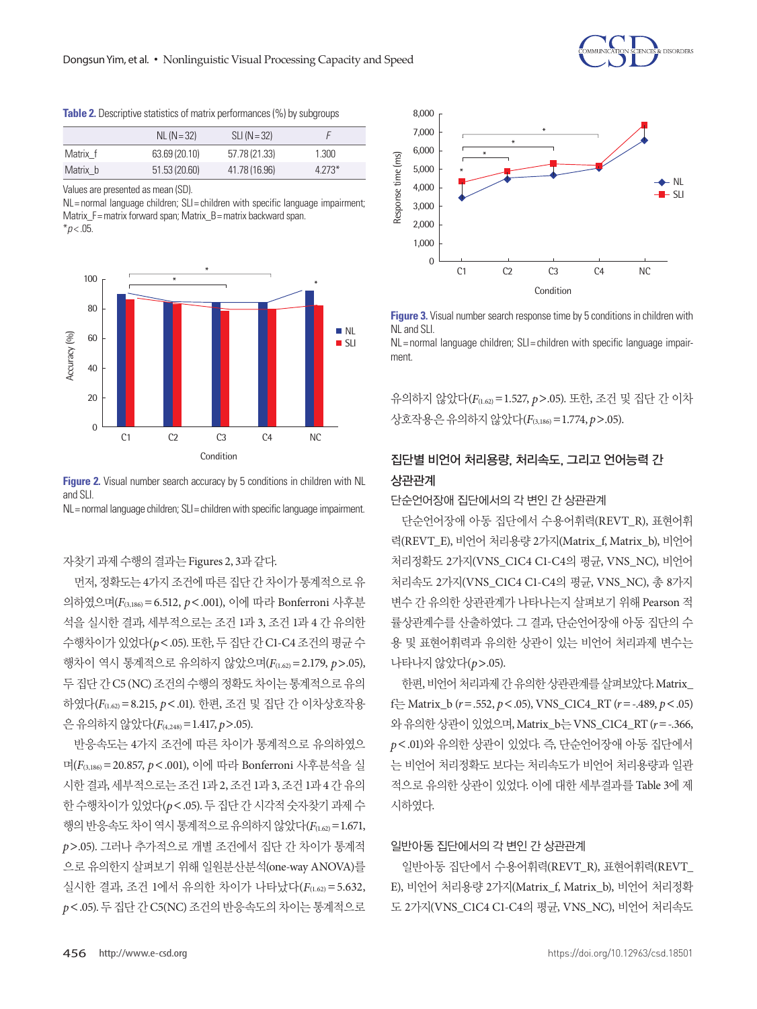**Table 2.** Descriptive statistics of matrix performances (%) by subgroups

|          | $NL (N = 32)$ | $SLI(N=32)$   |          |
|----------|---------------|---------------|----------|
| Matrix f | 63.69 (20.10) | 57.78 (21.33) | 1.300    |
| Matrix b | 51.53(20.60)  | 41.78 (16.96) | $4.273*$ |

Values are presented as mean (SD).

NL= normal language children; SLI= children with specific language impairment; Matrix  $F =$  matrix forward span: Matrix  $B =$  matrix backward span. \**p* < .05.



**Figure 2.** Visual number search accuracy by 5 conditions in children with NL and SLI.

NL= normal language children; SLI= children with specific language impairment.

자찾기과제수행의결과는 Figures 2, 3과같다.

먼저, 정확도는 4가지 조건에 따른 집단 간 차이가 통계적으로 유 의하였으며(*F*(3,186)=6.512, *p*<.001), 이에 따라 Bonferroni 사후분 석을 실시한 결과, 세부적으로는 조건 1과 3, 조건 1과 4 간 유의한 수행차이가 있었다(*p*<.05). 또한, 두 집단 간 C1-C4 조건의 평균 수 행차이 역시 통계적으로 유의하지 않았으며(*F*(1.62)=2.179, *p*>.05), 두 집단 간 C5 (NC) 조건의 수행의 정확도 차이는 통계적으로 유의 하였다(*F*(1.62)=8.215, *p*<.01). 한편, 조건 및 집단 간 이차상호작용 은유의하지않았다(*F*(4,248)=1.417, *p*>.05).

반응속도는 4가지 조건에 따른 차이가 통계적으로 유의하였으 며(*F*(3,186)=20.857, *p*<.001), 이에 따라 Bonferroni 사후분석을 실 시한 결과, 세부적으로는 조건 1과 2, 조건 1과 3, 조건 1과 4 간 유의 한 수행차이가 있었다(*p*<.05). 두 집단 간 시각적 숫자찾기 과제 수 행의 반응속도 차이 역시 통계적으로 유의하지 않았다( $F_{(1.62)} = 1.671$ , *p*>.05). 그러나 추가적으로 개별 조건에서 집단 간 차이가 통계적 으로 유의한지 살펴보기 위해 일원분산분석(one-way ANOVA)를 실시한 결과, 조건 1에서 유의한 차이가 나타났다(*F*(1.62) =5.632, *p*<.05). 두 집단 간 C5(NC) 조건의 반응속도의 차이는 통계적으로



**Figure 3.** Visual number search response time by 5 conditions in children with NL and SLI

NL= normal language children; SLI= children with specific language impairment.

유의하지 않았다(*F*(1.62)=1.527, *p*>.05). 또한, 조건 및 집단 간 이차 상호작용은유의하지않았다(*F*(3,186)=1.774, *p*>.05).

## 집단별 비언어 처리용량, 처리속도, 그리고 언어능력 간 상관관계

## 단순언어장애 집단에서의 각 변인 간 상관관계

단순언어장애 아동 집단에서 수용어휘력(REVT\_R), 표현어휘 력(REVT E), 비언어 처리용량 2가지(Matrix f, Matrix b), 비언어 처리정확도 2가지(VNS\_C1C4 C1-C4의 평균, VNS\_NC), 비언어 처리속도 2가지(VNS\_C1C4 C1-C4의 평균, VNS\_NC), 총 8가지 변수 간 유의한 상관관계가 나타나는지 살펴보기 위해 Pearson 적 률상관계수를 산출하였다. 그 결과, 단순언어장애 아동 집단의 수 용 및 표현어휘력과 유의한 상관이 있는 비언어 처리과제 변수는 나타나지않았다(*p*>.05).

한편, 비언어 처리과제 간 유의한 상관관계를 살펴보았다. Matrix\_ f는 Matrix\_b (*r*=.552, *p*<.05), VNS\_C1C4\_RT (*r*=-.489, *p*<.05) 와유의한상관이있었으며, Matrix\_b는 VNS\_C1C4\_RT (*r*=-.366, *p*<.01)와 유의한 상관이 있었다. 즉, 단순언어장애 아동 집단에서 는 비언어 처리정확도 보다는 처리속도가 비언어 처리용량과 일관 적으로 유의한 상관이 있었다. 이에 대한 세부결과를 Table 3에 제 시하였다.

#### 일반아동 집단에서의 각 변인 간 상관관계

일반아동 집단에서 수용어휘력(REVT\_R), 표현어휘력(REVT\_ E), 비언어 처리용량 2가지(Matrix\_f, Matrix\_b), 비언어 처리정확 도 2가지(VNS\_C1C4 C1-C4의 평균, VNS\_NC), 비언어 처리속도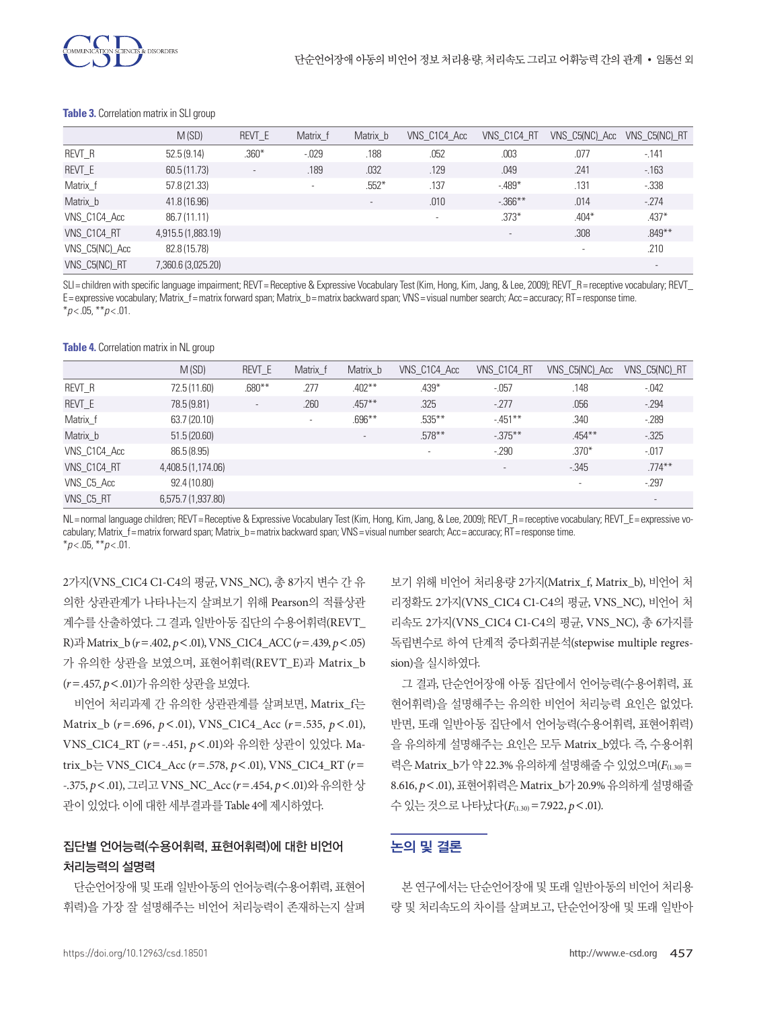

#### **Table 3.** Correlation matrix in SLI group

|                | M(SD)              | REVT E                   | Matrix f | Matrix b                 | VNS C1C4 Acc | VNS C1C4 RT | VNS C5(NC) Acc | VNS_C5(NC)_RT            |
|----------------|--------------------|--------------------------|----------|--------------------------|--------------|-------------|----------------|--------------------------|
| REVT R         | 52.5(9.14)         | $.360*$                  | $-0.029$ | .188                     | .052         | .003        | .077           | $-141$                   |
| REVT E         | 60.5(11.73)        | $\overline{\phantom{a}}$ | .189     | .032                     | .129         | .049        | .241           | $-163$                   |
| Matrix_f       | 57.8 (21.33)       |                          | $\sim$   | $.552*$                  | .137         | $-.489*$    | .131           | $-0.338$                 |
| Matrix b       | 41.8 (16.96)       |                          |          | $\overline{\phantom{a}}$ | .010         | $-366***$   | .014           | $-274$                   |
| VNS C1C4 Acc   | 86.7 (11.11)       |                          |          |                          | $\sim$       | $.373*$     | $.404*$        | $.437*$                  |
| VNS C1C4 RT    | 4,915.5 (1,883.19) |                          |          |                          |              | $\sim$      | .308           | $.849**$                 |
| VNS C5(NC) Acc | 82.8 (15.78)       |                          |          |                          |              |             |                | .210                     |
| VNS_C5(NC)_RT  | 7,360.6 (3,025.20) |                          |          |                          |              |             |                | $\overline{\phantom{a}}$ |

SLI= children with specific language impairment; REVT= Receptive & Expressive Vocabulary Test (Kim, Hong, Kim, Jang, & Lee, 2009); REVT\_R= receptive vocabulary; REVT\_ E= expressive vocabulary; Matrix\_f= matrix forward span; Matrix\_b= matrix backward span; VNS= visual number search; Acc= accuracy; RT= response time. \**p* < .05, \*\**p* < .01.

**Table 4.** Correlation matrix in NL group

|              | M(SD)              | REVT E                   | Matrix f | Matrix b  | VNS C1C4 Acc | VNS C1C4 RT              | VNS C5(NC) Acc           | VNS_C5(NC)_RT |
|--------------|--------------------|--------------------------|----------|-----------|--------------|--------------------------|--------------------------|---------------|
| REVT R       | 72.5 (11.60)       | $.680**$                 | .277     | $.402***$ | $.439*$      | $-0.057$                 | .148                     | $-0.042$      |
| REVT_E       | 78.5 (9.81)        | $\overline{\phantom{a}}$ | .260     | $.457***$ | .325         | $-277$                   | .056                     | $-294$        |
| Matrix_f     | 63.7 (20.10)       |                          | $\sim$   | $.696***$ | $.535***$    | $-451**$                 | .340                     | $-289$        |
| Matrix b     | 51.5(20.60)        |                          |          | $\sim$    | $.578***$    | $-.375***$               | $.454***$                | $-0.325$      |
| VNS C1C4 Acc | 86.5 (8.95)        |                          |          |           | ۰            | $-.290$                  | $.370*$                  | $-0.017$      |
| VNS C1C4 RT  | 4,408.5 (1,174.06) |                          |          |           |              | $\overline{\phantom{a}}$ | $-0.345$                 | $.774***$     |
| VNS C5 Acc   | 92.4 (10.80)       |                          |          |           |              |                          | $\overline{\phantom{a}}$ | $-297$        |
| VNS C5 RT    | 6,575.7 (1,937.80) |                          |          |           |              |                          |                          | $\sim$        |

NL= normal language children; REVT= Receptive & Expressive Vocabulary Test (Kim, Hong, Kim, Jang, & Lee, 2009); REVT\_R= receptive vocabulary; REVT\_E= expressive vocabulary; Matrix f= matrix forward span; Matrix b= matrix backward span; VNS= visual number search; Acc= accuracy; RT= response time.  $*_{p<.05,}$   $*_{p<.01.}$ 

2가지(VNS\_C1C4 C1-C4의 평균, VNS\_NC), 총 8가지 변수 간 유 의한 상관관계가 나타나는지 살펴보기 위해 Pearson의 적률상관 계수를 산출하였다. 그 결과, 일반아동 집단의 수용어휘력(REVT\_ R)과 Matrix\_b (*r*=.402, *p*<.01), VNS\_C1C4\_ACC (*r*=.439, *p*<.05) 가 유의한 상관을 보였으며, 표현어휘력(REVT\_E)과 Matrix\_b (*r*=.457, *p*<.01)가유의한상관을보였다.

비언어 처리과제 간 유의한 상관관계를 살펴보면, Matrix\_f는 Matrix\_b (*r* =.696, *p*<.01), VNS\_C1C4\_Acc (*r* =.535, *p*<.01), VNS\_C1C4\_RT (*r*=-.451, *p*<.01)와 유의한 상관이 있었다. Matrix\_b는 VNS\_C1C4\_Acc (*r*=.578, *p*<.01), VNS\_C1C4\_RT (*r*= -.375, *p*<.01), 그리고 VNS\_NC\_Acc (*r*=.454, *p*<.01)와 유의한 상 관이 있었다. 이에 대한 세부결과를 Table 4에 제시하였다.

# 집단별 언어능력(수용어휘력, 표현어휘력)에 대한 비언어 처리능력의 설명력

단순언어장애 및 또래 일반아동의 언어능력(수용어휘력, 표현어 휘력)을 가장 잘 설명해주는 비언어 처리능력이 존재하는지 살펴

보기 위해 비언어 처리용량 2가지(Matrix\_f, Matrix\_b), 비언어 처 리정확도 2가지(VNS\_C1C4 C1-C4의 평균, VNS\_NC), 비언어 처 리속도 2가지(VNS\_C1C4 C1-C4의 평균, VNS\_NC), 총 6가지를 독립변수로 하여 단계적 중다회귀분석(stepwise multiple regression)을실시하였다.

그 결과, 단순언어장애 아동 집단에서 언어능력(수용어휘력, 표 현어휘력)을 설명해주는 유의한 비언어 처리능력 요인은 없었다. 반면, 또래 일반아동 집단에서 언어능력(수용어휘력, 표현어휘력) 을 유의하게 설명해주는 요인은 모두 Matrix\_b였다. 즉, 수용어휘 력은 Matrix\_b가 약 22.3% 유의하게 설명해줄 수 있었으며(F(1.30) = 8.616, *p*<.01), 표현어휘력은 Matrix\_b가 20.9% 유의하게설명해줄 수있는것으로나타났다(*F*(1.30)=7.922, *p*<.01).

## 논의 및 결론

본 연구에서는 단순언어장애 및 또래 일반아동의 비언어 처리용 량 및 처리속도의 차이를 살펴보고, 단순언어장애 및 또래 일반아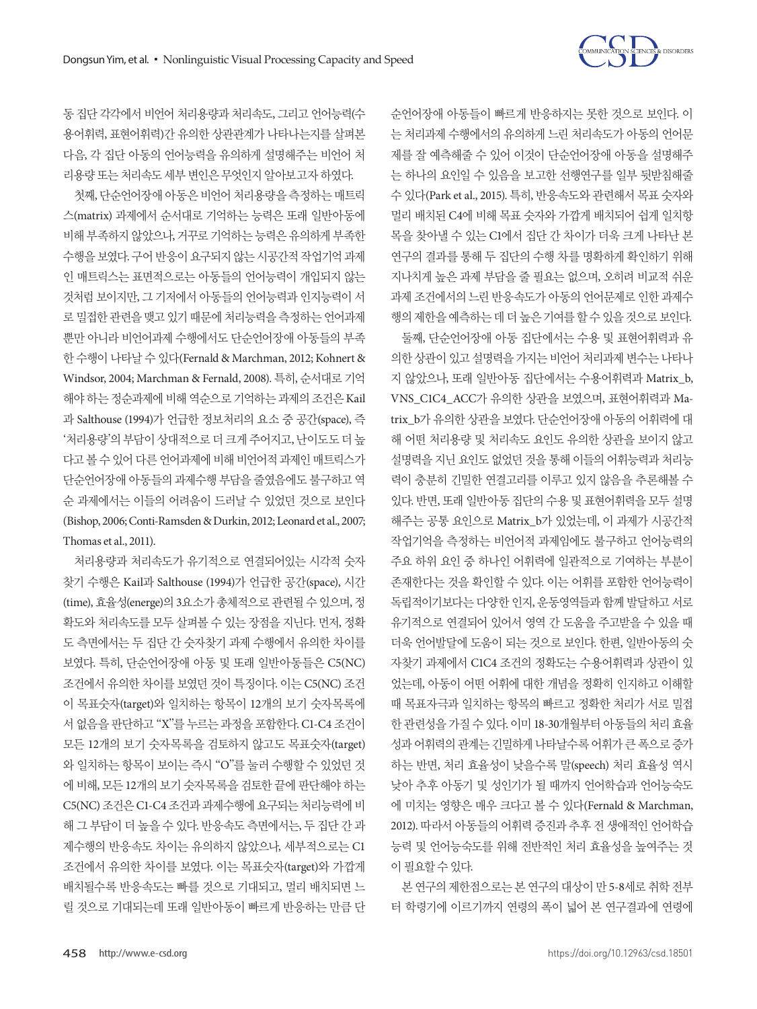

순언어장애 아동들이 빠르게 반응하지는 못한 것으로 보인다. 이 는 처리과제 수행에서의 유의하게 느린 처리속도가 아동의 언어문 제를 잘 예측해줄 수 있어 이것이 단순언어장애 아동을 설명해주 는 하나의 요인일 수 있음을 보고한 선행연구를 일부 뒷받침해줄 수 있다(Park et al., 2015). 특히, 반응속도와 관련해서 목표 숫자와 멀리 배치된 C4에 비해 목표 숫자와 가깝게 배치되어 쉽게 일치항 목을 찾아낼 수 있는 C1에서 집단 간 차이가 더욱 크게 나타난 본 연구의 결과를 통해 두 집단의 수행 차를 명확하게 확인하기 위해 지나치게 높은 과제 부담을 줄 필요는 없으며, 오히려 비교적 쉬운 과제 조건에서의 느린 반응속도가 아동의 언어문제로 인한 과제수 행의제한을예측하는데더높은기여를할수있을것으로보인다.

둘째, 단순언어장애 아동 집단에서는 수용 및 표현어휘력과 유 의한 상관이 있고 설명력을 가지는 비언어 처리과제 변수는 나타나 지 않았으나, 또래 일반아동 집단에서는 수용어휘력과 Matrix\_b, VNS\_C1C4\_ACC가 유의한 상관을 보였으며, 표현어휘력과 Matrix\_b가 유의한 상관을 보였다. 단순언어장애 아동의 어휘력에 대 해 어떤 처리용량 및 처리속도 요인도 유의한 상관을 보이지 않고 설명력을 지닌 요인도 없었던 것을 통해 이들의 어휘능력과 처리능 력이 충분히 긴밀한 연결고리를 이루고 있지 않음을 추론해볼 수 있다. 반면, 또래 일반아동 집단의 수용 및 표현어휘력을 모두 설명 해주는 공통 요인으로 Matrix\_b가 있었는데, 이 과제가 시공간적 작업기억을 측정하는 비언어적 과제임에도 불구하고 언어능력의 주요 하위 요인 중 하나인 어휘력에 일관적으로 기여하는 부분이 존재한다는 것을 확인할 수 있다. 이는 어휘를 포함한 언어능력이 독립적이기보다는 다양한 인지, 운동영역들과 함께 발달하고 서로 유기적으로 연결되어 있어서 영역 간 도움을 주고받을 수 있을 때 더욱 언어발달에 도움이 되는 것으로 보인다. 한편, 일반아동의 숫 자찾기 과제에서 C1C4 조건의 정확도는 수용어휘력과 상관이 있 었는데, 아동이 어떤 어휘에 대한 개념을 정확히 인지하고 이해할 때 목표자극과 일치하는 항목의 빠르고 정확한 처리가 서로 밀접 한 관련성을 가질 수 있다. 이미 18-30개월부터 아동들의 처리 효율 성과 어휘력의 관계는 긴밀하게 나타날수록 어휘가 큰 폭으로 증가 하는 반면, 처리 효율성이 낮을수록 말(speech) 처리 효율성 역시 낮아 추후 아동기 및 성인기가 될 때까지 언어학습과 언어능숙도 에 미치는 영향은 매우 크다고 볼 수 있다(Fernald & Marchman, 2012). 따라서 아동들의 어휘력 증진과 추후 전 생애적인 언어학습 능력 및 언어능숙도를 위해 전반적인 처리 효율성을 높여주는 것 이필요할수있다.

본 연구의 제한점으로는 본 연구의 대상이 만 5-8세로 취학 전부 터 학령기에 이르기까지 연령의 폭이 넓어 본 연구결과에 연령에

동 집단 각각에서 비언어 처리용량과 처리속도, 그리고 언어능력(수 용어휘력, 표현어휘력)간 유의한 상관관계가 나타나는지를 살펴본 다음, 각 집단 아동의 언어능력을 유의하게 설명해주는 비언어 처 리용량 또는 처리속도 세부 변인은 무엇인지 알아보고자 하였다.

첫째, 단순언어장애 아동은 비언어 처리용량을 측정하는 매트릭 스(matrix) 과제에서 순서대로 기억하는 능력은 또래 일반아동에 비해 부족하지 않았으나, 거꾸로 기억하는 능력은 유의하게 부족한 수행을 보였다. 구어 반응이 요구되지 않는 시공간적 작업기억 과제 인 매트릭스는 표면적으로는 아동들의 언어능력이 개입되지 않는 것처럼 보이지만, 그 기저에서 아동들의 언어능력과 인지능력이 서 로 밀접한 관련을 맺고 있기 때문에 처리능력을 측정하는 언어과제 뿐만 아니라 비언어과제 수행에서도 단순언어장애 아동들의 부족 한 수행이 나타날 수 있다(Fernald & Marchman, 2012; Kohnert & Windsor, 2004; Marchman & Fernald, 2008). 특히, 순서대로 기억 해야 하는 정순과제에 비해 역순으로 기억하는 과제의 조건은 Kail 과 Salthouse (1994)가 언급한 정보처리의 요소 중 공간(space), 즉 '처리용량'의부담이상대적으로더크게주어지고, 난이도도더높 다고 볼 수 있어 다른 언어과제에 비해 비언어적 과제인 매트릭스가 단순언어장애 아동들의 과제수행 부담을 줄였음에도 불구하고 역 순 과제에서는 이들의 어려움이 드러날 수 있었던 것으로 보인다 (Bishop, 2006; Conti-Ramsden & Durkin, 2012; Leonard et al., 2007; Thomas et al., 2011).

처리용량과 처리속도가 유기적으로 연결되어있는 시각적 숫자 찾기 수행은 Kail과 Salthouse (1994)가 언급한 공간(space), 시간 (time), 효율성(energe)의 3요소가 총체적으로 관련될 수 있으며, 정 확도와 처리속도를 모두 살펴볼 수 있는 장점을 지닌다. 먼저, 정확 도 측면에서는 두 집단 간 숫자찾기 과제 수행에서 유의한 차이를 보였다. 특히, 단순언어장애 아동 및 또래 일반아동들은 C5(NC) 조건에서 유의한 차이를 보였던 것이 특징이다. 이는 C5(NC) 조건 이 목표숫자(target)와 일치하는 항목이 12개의 보기 숫자목록에 서 없음을 판단하고 "X"를 누르는 과정을 포함한다. C1-C4 조건이 모든 12개의 보기 숫자목록을 검토하지 않고도 목표숫자(target) 와 일치하는 항목이 보이는 즉시 "O"를 눌러 수행할 수 있었던 것 에 비해, 모든 12개의 보기 숫자목록을 검토한 끝에 판단해야 하는 C5(NC) 조건은 C1-C4 조건과 과제수행에 요구되는 처리능력에비 해 그 부담이 더 높을 수 있다. 반응속도 측면에서는, 두 집단 간 과 제수행의 반응속도 차이는 유의하지 않았으나, 세부적으로는 C1 조건에서 유의한 차이를 보였다. 이는 목표숫자(target)와 가깝게 배치될수록 반응속도는 빠를 것으로 기대되고, 멀리 배치되면 느 릴 것으로 기대되는데 또래 일반아동이 빠르게 반응하는 만큼 단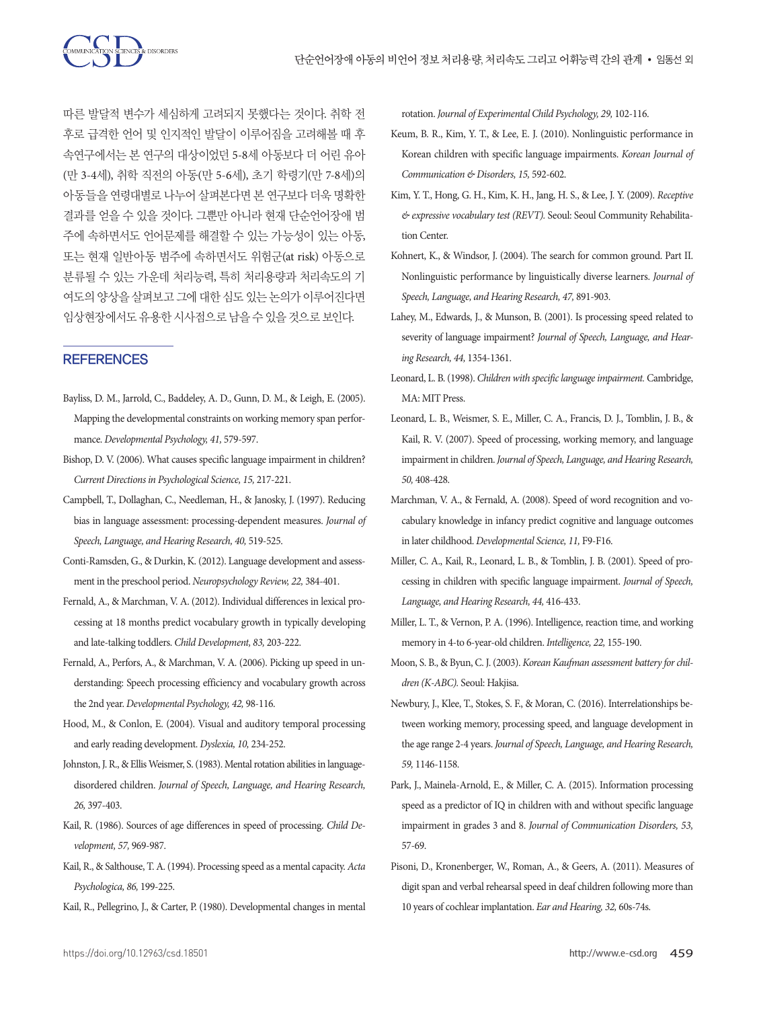

따른 발달적 변수가 세심하게 고려되지 못했다는 것이다. 취학 전 후로 급격한 언어 및 인지적인 발달이 이루어짐을 고려해볼 때 후 속연구에서는 본 연구의 대상이었던 5-8세 아동보다 더 어린 유아 (만 3-4세), 취학 직전의 아동(만 5-6세), 초기 학령기(만 7-8세)의 아동들을 연령대별로 나누어 살펴본다면 본 연구보다 더욱 명확한 결과를 얻을 수 있을 것이다. 그뿐만 아니라 현재 단순언어장애 범 주에 속하면서도 언어문제를 해결할 수 있는 가능성이 있는 아동, 또는 현재 일반아동 범주에 속하면서도 위험군(at risk) 아동으로 분류될 수 있는 가운데 처리능력, 특히 처리용량과 처리속도의 기 여도의 양상을 살펴보고 그에 대한 심도 있는 논의가 이루어진다면 임상현장에서도유용한시사점으로남을수있을것으로보인다.

## **REFERENCES**

- Bayliss, D. M., Jarrold, C., Baddeley, A. D., Gunn, D. M., & Leigh, E. (2005). Mapping the developmental constraints on working memory span performance. *Developmental Psychology, 41,* 579-597.
- Bishop, D. V. (2006). What causes specific language impairment in children? *Current Directions in Psychological Science, 15,* 217-221.
- Campbell, T., Dollaghan, C., Needleman, H., & Janosky, J. (1997). Reducing bias in language assessment: processing-dependent measures. *Journal of Speech, Language, and Hearing Research, 40,* 519-525.
- Conti-Ramsden, G., & Durkin, K. (2012). Language development and assessment in the preschool period. *Neuropsychology Review, 22,* 384-401.
- Fernald, A., & Marchman, V. A. (2012). Individual differences in lexical processing at 18 months predict vocabulary growth in typically developing and late‐talking toddlers. *Child Development, 83,* 203-222.
- Fernald, A., Perfors, A., & Marchman, V. A. (2006). Picking up speed in understanding: Speech processing efficiency and vocabulary growth across the 2nd year. *Developmental Psychology, 42,* 98-116.
- Hood, M., & Conlon, E. (2004). Visual and auditory temporal processing and early reading development. *Dyslexia, 10,* 234-252.
- Johnston, J. R., & Ellis Weismer, S. (1983). Mental rotation abilities in languagedisordered children. *Journal of Speech, Language, and Hearing Research, 26,* 397-403.
- Kail, R. (1986). Sources of age differences in speed of processing. *Child Development, 57,* 969-987.
- Kail, R., & Salthouse, T. A. (1994). Processing speed as a mental capacity. *Acta Psychologica, 86,* 199-225.
- Kail, R., Pellegrino, J., & Carter, P. (1980). Developmental changes in mental

rotation. *Journal of Experimental Child Psychology, 29,* 102-116.

- Keum, B. R., Kim, Y. T., & Lee, E. J. (2010). Nonlinguistic performance in Korean children with specific language impairments. *Korean Journal of Communication & Disorders, 15,* 592-602.
- Kim, Y. T., Hong, G. H., Kim, K. H., Jang, H. S., & Lee, J. Y. (2009). *Receptive & expressive vocabulary test (REVT).* Seoul: Seoul Community Rehabilitation Center.
- Kohnert, K., & Windsor, J. (2004). The search for common ground. Part II. Nonlinguistic performance by linguistically diverse learners. *Journal of Speech, Language, and Hearing Research, 47,* 891-903.
- Lahey, M., Edwards, J., & Munson, B. (2001). Is processing speed related to severity of language impairment? *Journal of Speech, Language, and Hearing Research, 44,* 1354-1361.
- Leonard, L. B. (1998). *Children with specific language impairment.* Cambridge, MA: MIT Press.
- Leonard, L. B., Weismer, S. E., Miller, C. A., Francis, D. J., Tomblin, J. B., & Kail, R. V. (2007). Speed of processing, working memory, and language impairment in children. *Journal of Speech, Language, and Hearing Research, 50,* 408-428.
- Marchman, V. A., & Fernald, A. (2008). Speed of word recognition and vocabulary knowledge in infancy predict cognitive and language outcomes in later childhood. *Developmental Science, 11,* F9-F16.
- Miller, C. A., Kail, R., Leonard, L. B., & Tomblin, J. B. (2001). Speed of processing in children with specific language impairment. *Journal of Speech, Language, and Hearing Research, 44,* 416-433.
- Miller, L. T., & Vernon, P. A. (1996). Intelligence, reaction time, and working memory in 4-to 6-year-old children. *Intelligence, 22,* 155-190.
- Moon, S. B., & Byun, C. J. (2003). *Korean Kaufman assessment battery for children (K-ABC).* Seoul: Hakjisa.
- Newbury, J., Klee, T., Stokes, S. F., & Moran, C. (2016). Interrelationships between working memory, processing speed, and language development in the age range 2-4 years. *Journal of Speech, Language, and Hearing Research, 59,* 1146-1158.
- Park, J., Mainela-Arnold, E., & Miller, C. A. (2015). Information processing speed as a predictor of IQ in children with and without specific language impairment in grades 3 and 8. *Journal of Communication Disorders, 53,*  57-69.
- Pisoni, D., Kronenberger, W., Roman, A., & Geers, A. (2011). Measures of digit span and verbal rehearsal speed in deaf children following more than 10 years of cochlear implantation. *Ear and Hearing, 32,* 60s-74s.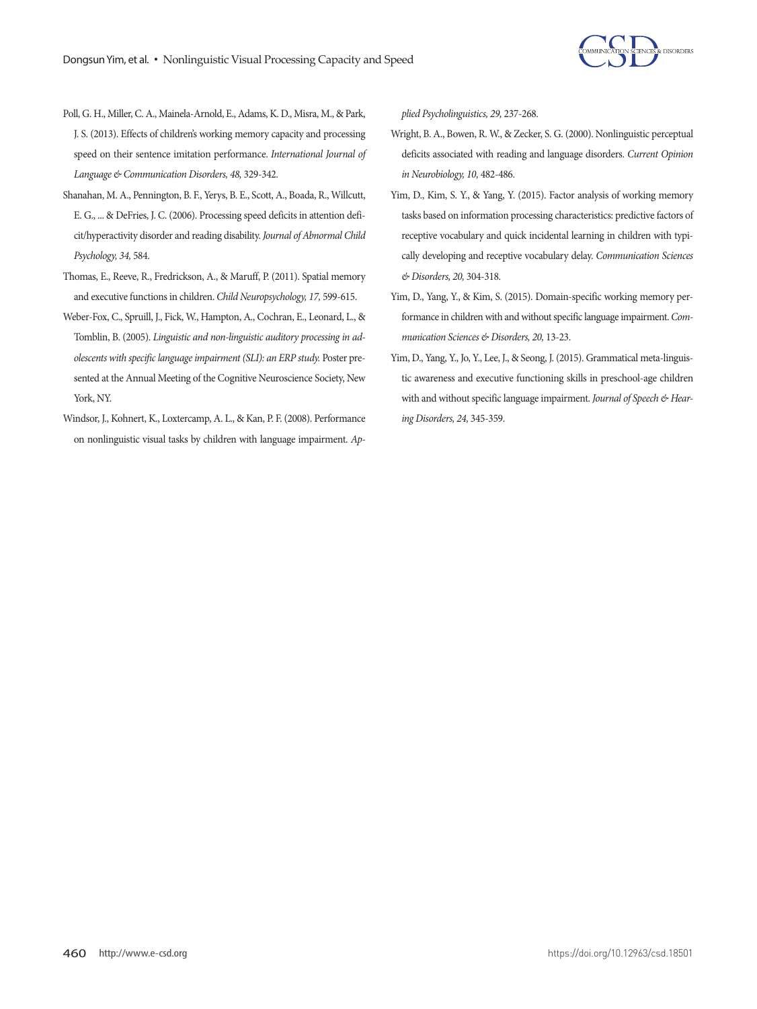

- Poll, G. H., Miller, C. A., Mainela‐Arnold, E., Adams, K. D., Misra, M., & Park, J. S. (2013). Effects of children's working memory capacity and processing speed on their sentence imitation performance. *International Journal of Language & Communication Disorders, 48,* 329-342.
- Shanahan, M. A., Pennington, B. F., Yerys, B. E., Scott, A., Boada, R., Willcutt, E. G., ... & DeFries, J. C. (2006). Processing speed deficits in attention deficit/hyperactivity disorder and reading disability. *Journal of Abnormal Child Psychology, 34,* 584.
- Thomas, E., Reeve, R., Fredrickson, A., & Maruff, P. (2011). Spatial memory and executive functions in children. *Child Neuropsychology, 17,* 599-615.
- Weber-Fox, C., Spruill, J., Fick, W., Hampton, A., Cochran, E., Leonard, L., & Tomblin, B. (2005). *Linguistic and non-linguistic auditory processing in adolescents with specific language impairment (SLI): an ERP study.* Poster presented at the Annual Meeting of the Cognitive Neuroscience Society, New York, NY.
- Windsor, J., Kohnert, K., Loxtercamp, A. L., & Kan, P. F. (2008). Performance on nonlinguistic visual tasks by children with language impairment. *Ap-*

*plied Psycholinguistics, 29,* 237-268.

- Wright, B. A., Bowen, R. W., & Zecker, S. G. (2000). Nonlinguistic perceptual deficits associated with reading and language disorders. *Current Opinion in Neurobiology, 10,* 482-486.
- Yim, D., Kim, S. Y., & Yang, Y. (2015). Factor analysis of working memory tasks based on information processing characteristics: predictive factors of receptive vocabulary and quick incidental learning in children with typically developing and receptive vocabulary delay. *Communication Sciences & Disorders, 20,* 304-318.
- Yim, D., Yang, Y., & Kim, S. (2015). Domain-specific working memory performance in children with and without specific language impairment. *Communication Sciences & Disorders, 20,* 13-23.
- Yim, D., Yang, Y., Jo, Y., Lee, J., & Seong, J. (2015). Grammatical meta-linguistic awareness and executive functioning skills in preschool-age children with and without specific language impairment. *Journal of Speech & Hearing Disorders, 24,* 345-359.